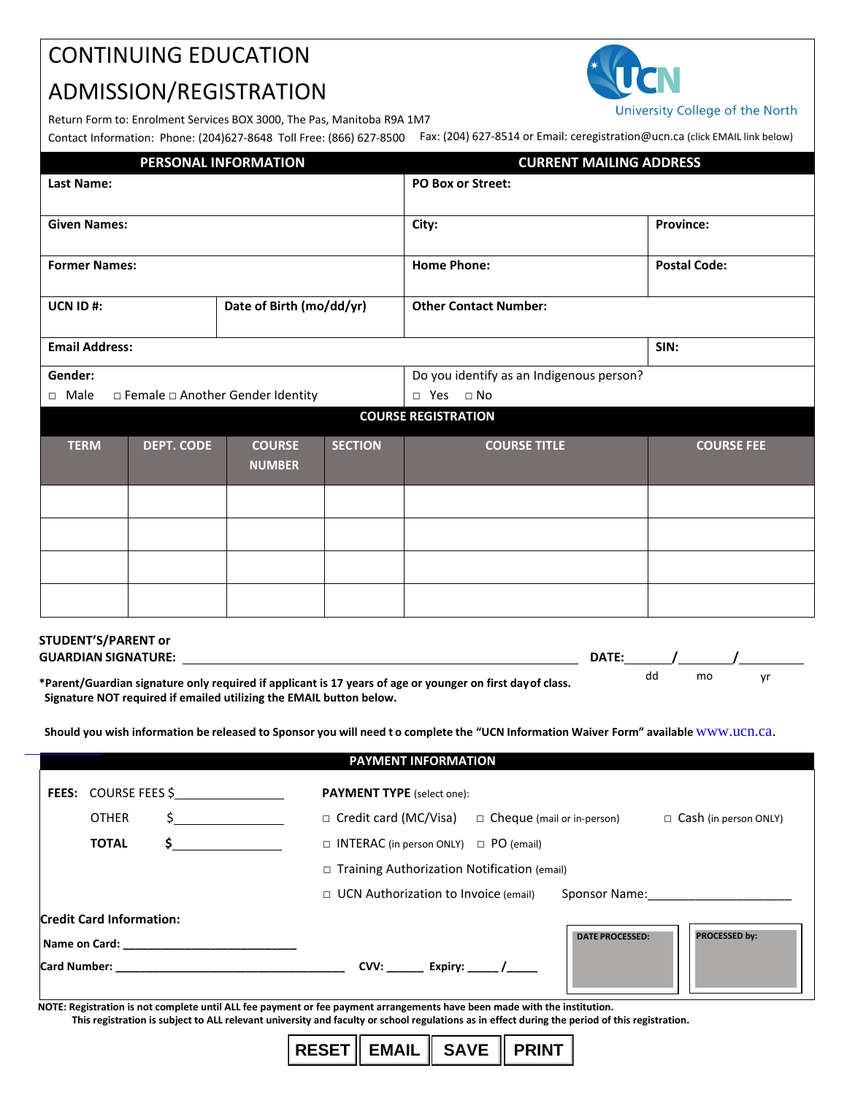## CONTINUING EDUCATION

# ADMISSION/REGISTRATION

University College of the North

Return Form to: Enrolment Services BOX 3000, The Pas, Manitoba R9A 1M7

Contact Information: Phone: (204)627-8648 Toll Free: (866) 627-8500 Fax: (204) 627-8514 or Email: ceregistration@ucn.ca (click EMAIL link below)

| PERSONAL INFORMATION                              |                   |                                |                              | <b>CURRENT MAILING ADDRESS</b>           |                     |  |
|---------------------------------------------------|-------------------|--------------------------------|------------------------------|------------------------------------------|---------------------|--|
| <b>Last Name:</b>                                 |                   |                                |                              | <b>PO Box or Street:</b>                 |                     |  |
| <b>Given Names:</b>                               |                   |                                |                              | City:                                    | <b>Province:</b>    |  |
| <b>Former Names:</b>                              |                   |                                |                              | <b>Home Phone:</b>                       | <b>Postal Code:</b> |  |
| Date of Birth (mo/dd/yr)<br>UCN ID#:              |                   |                                | <b>Other Contact Number:</b> |                                          |                     |  |
| <b>Email Address:</b>                             |                   |                                |                              |                                          | SIN:                |  |
| Gender:                                           |                   |                                |                              | Do you identify as an Indigenous person? |                     |  |
| □ Female □ Another Gender Identity<br>$\Box$ Male |                   |                                |                              | $\Box$ Yes $\Box$ No                     |                     |  |
|                                                   |                   |                                |                              | <b>COURSE REGISTRATION</b>               |                     |  |
| <b>TERM</b>                                       | <b>DEPT. CODE</b> | <b>COURSE</b><br><b>NUMBER</b> | <b>SECTION</b>               | <b>COURSE TITLE</b>                      | <b>COURSE FEE</b>   |  |
|                                                   |                   |                                |                              |                                          |                     |  |
|                                                   |                   |                                |                              |                                          |                     |  |
|                                                   |                   |                                |                              |                                          |                     |  |
|                                                   |                   |                                |                              |                                          |                     |  |

| STUDENT'S/PARENT or                                                                                                                                                               |       |    |    |    |
|-----------------------------------------------------------------------------------------------------------------------------------------------------------------------------------|-------|----|----|----|
| <b>GUARDIAN SIGNATURE:</b>                                                                                                                                                        | DATE: |    |    |    |
| *Parent/Guardian signature only required if applicant is 17 years of age or younger on first day of class.<br>Signature NOT required if emailed utilizing the EMAIL button below. |       | dd | mo | vr |

**Should you wish information be released to Sponsor you will need t o complete the "UCN Information Waiver Form" available** [www.ucn.ca](https://www.ucn.ca/).

### **PAYMENT INFORMATION**

| <b>Card Number:</b> The Card Number of the Card Number of the Card Out of the Card Out of the Card Out of the Card Out of the Card Out of the Card Out of the Card Out of the Card Out of the Card Out of the Card Out of the Card | CVV: __________ Expiry: _______ /______                                                           |  |  |  |  |  |  |
|------------------------------------------------------------------------------------------------------------------------------------------------------------------------------------------------------------------------------------|---------------------------------------------------------------------------------------------------|--|--|--|--|--|--|
| Name on Card: Name on Sar                                                                                                                                                                                                          | <b>PROCESSED by:</b><br><b>DATE PROCESSED:</b>                                                    |  |  |  |  |  |  |
| <b>Credit Card Information:</b>                                                                                                                                                                                                    |                                                                                                   |  |  |  |  |  |  |
|                                                                                                                                                                                                                                    | $\Box$ UCN Authorization to Invoice (email)<br>Sponsor Name:                                      |  |  |  |  |  |  |
|                                                                                                                                                                                                                                    | $\Box$ Training Authorization Notification (email)                                                |  |  |  |  |  |  |
| <b>TOTAL</b>                                                                                                                                                                                                                       | $\Box$ INTERAC (in person ONLY) $\Box$ PO (email)                                                 |  |  |  |  |  |  |
| <b>OTHER</b>                                                                                                                                                                                                                       | $\Box$ Credit card (MC/Visa)<br>$\Box$ Cheque (mail or in-person)<br>$\Box$ Cash (in person ONLY) |  |  |  |  |  |  |
| <b>FEES:</b> COURSE FEES \$                                                                                                                                                                                                        | <b>PAYMENT TYPE</b> (select one):                                                                 |  |  |  |  |  |  |

**NOTE: Registration is not complete until ALL fee payment or fee payment arrangements have been made with the institution.**